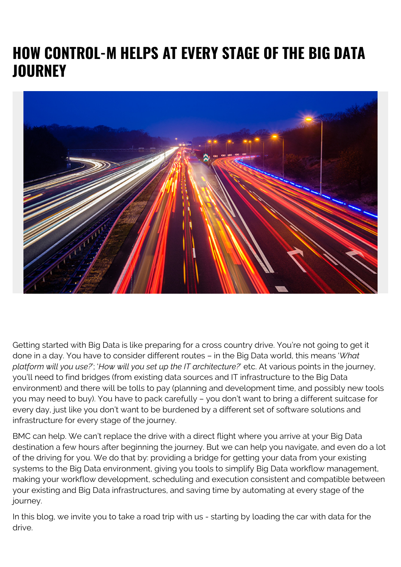## **HOW CONTROL-M HELPS AT EVERY STAGE OF THE BIG DATA JOURNEY**



Getting started with Big Data is like preparing for a cross country drive. You're not going to get it done in a day. You have to consider different routes – in the Big Data world, this means '*What platform will you use?*'; '*How will you set up the IT architecture?*' etc. At various points in the journey, you'll need to find bridges (from existing data sources and IT infrastructure to the Big Data environment) and there will be tolls to pay (planning and development time, and possibly new tools you may need to buy). You have to pack carefully – you don't want to bring a different suitcase for every day, just like you don't want to be burdened by a different set of software solutions and infrastructure for every stage of the journey.

BMC can help. We can't replace the drive with a direct flight where you arrive at your Big Data destination a few hours after beginning the journey. But we can help you navigate, and even do a lot of the driving for you. We do that by: providing a bridge for getting your data from your existing systems to the Big Data environment, giving you tools to simplify Big Data workflow management, making your workflow development, scheduling and execution consistent and compatible between your existing and Big Data infrastructures, and saving time by automating at every stage of the journey.

In this blog, we invite you to take a road trip with us - starting by loading the car with data for the drive.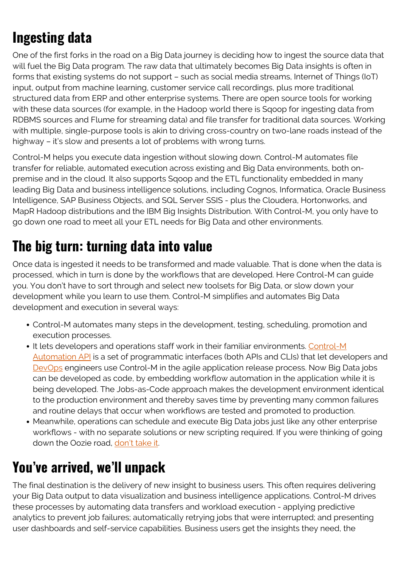## **Ingesting data**

One of the first forks in the road on a Big Data journey is deciding how to ingest the source data that will fuel the Big Data program. The raw data that ultimately becomes Big Data insights is often in forms that existing systems do not support – such as social media streams, Internet of Things (IoT) input, output from machine learning, customer service call recordings, plus more traditional structured data from ERP and other enterprise systems. There are open source tools for working with these data sources (for example, in the Hadoop world there is Sqoop for ingesting data from RDBMS sources and Flume for streaming data) and file transfer for traditional data sources. Working with multiple, single-purpose tools is akin to driving cross-country on two-lane roads instead of the highway – it's slow and presents a lot of problems with wrong turns.

Control-M helps you execute data ingestion without slowing down. Control-M automates file transfer for reliable, automated execution across existing and Big Data environments, both onpremise and in the cloud. It also supports Sqoop and the ETL functionality embedded in many leading Big Data and business intelligence solutions, including Cognos, Informatica, Oracle Business Intelligence, SAP Business Objects, and SQL Server SSIS - plus the Cloudera, Hortonworks, and MapR Hadoop distributions and the IBM Big Insights Distribution. With Control-M, you only have to go down one road to meet all your ETL needs for Big Data and other environments.

## **The big turn: turning data into value**

Once data is ingested it needs to be transformed and made valuable. That is done when the data is processed, which in turn is done by the workflows that are developed. Here Control-M can guide you. You don't have to sort through and select new toolsets for Big Data, or slow down your development while you learn to use them. Control-M simplifies and automates Big Data development and execution in several ways:

- Control-M automates many steps in the development, testing, scheduling, promotion and execution processes.
- It lets developers and operations staff work in their familiar environments. [Control-M](https://blogs.bmc.com/it-solutions/jobs-as-code.html) [Automation API](https://blogs.bmc.com/it-solutions/jobs-as-code.html) is a set of programmatic interfaces (both APIs and CLIs) that let developers and [DevOps](https://blogs.bmc.com/blogs/devops-basics-introduction/) engineers use Control-M in the agile application release process. Now Big Data jobs can be developed as code, by embedding workflow automation in the application while it is being developed. The Jobs-as-Code approach makes the development environment identical to the production environment and thereby saves time by preventing many common failures and routine delays that occur when workflows are tested and promoted to production.
- Meanwhile, operations can schedule and execute Big Data jobs just like any other enterprise workflows - with no separate solutions or new scripting required. If you were thinking of going down the Oozie road, [don't take it.](https://blogs.bmc.com/blogs/new-tool-times-oozie-past-prime/)

## **You've arrived, we'll unpack**

The final destination is the delivery of new insight to business users. This often requires delivering your Big Data output to data visualization and business intelligence applications. Control-M drives these processes by automating data transfers and workload execution - applying predictive analytics to prevent job failures; automatically retrying jobs that were interrupted; and presenting user dashboards and self-service capabilities. Business users get the insights they need, the